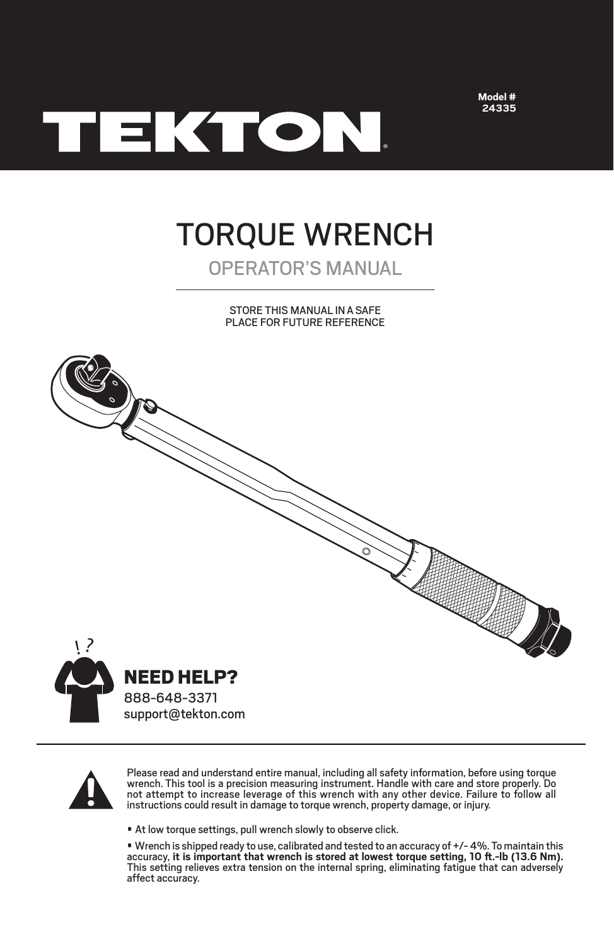

**Model # 24335**

# TORQUE WRENCH

# OPERATOR'S MANUAL

STORE THIS MANUAL INA SAFE PLACE FOR FUTURE REFERENCE



888-648-3371 support@tekton.com



Please read and understand entire manual, including all safety information, before using torque wrench. This tool is a precision measuring instrument. Handle with care and store properly. Do not attempt to increase leverage of this wrench with any other device. Failure to follow all instructions could result in damage to torque wrench, property damage, or injury.

• At low torque settings, pull wrench slowly to observe click.

• Wrench is shipped ready to use, calibrated and tested to an accuracy of +/- 4%. To maintain this<br>accuracy, it is im<mark>portant that wrench is stored at lowest torque setting, 10 ft.-lb (13.6 Nm).</mark> This setting relieves extra tension on the internal spring, eliminating fatigue that can adversely affect accuracy.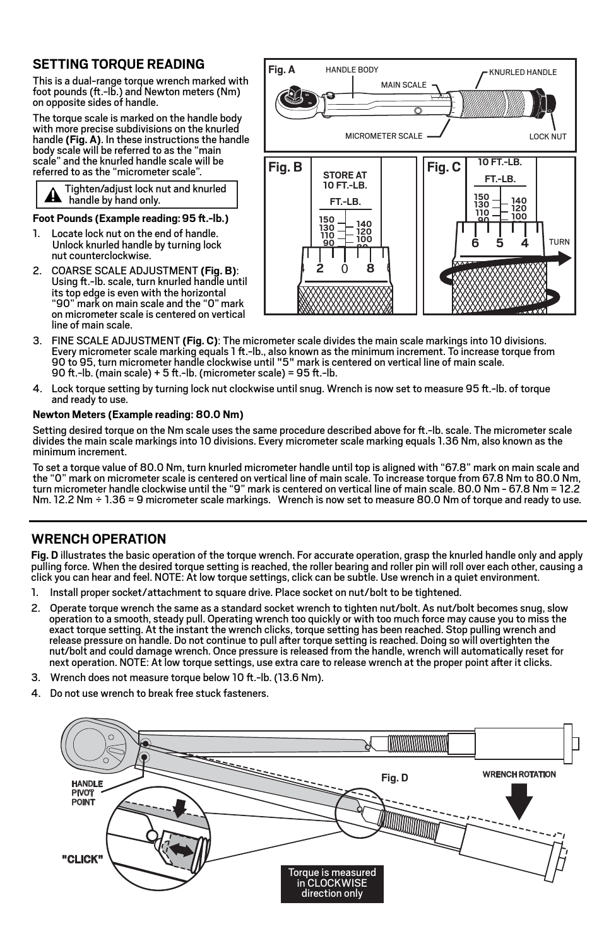# **SETTING TORQUE READING**

This is a dual-range torque wrench marked with foot pounds ( $ft.-lb$ .) and Newton meters ( $Nm$ ) on opposite sides of handle.

The torque scale is marked on the handle body with more precise subdivisions on the knurled handle **(Fig. A)**. In these instructions the handle body scale will be referred to as the "main scale" and the knurled handle scale will be referred to as the "micrometer scale".

|  | Tighten/adjust lock nut and knurled<br>A handle by hand only. |
|--|---------------------------------------------------------------|
|--|---------------------------------------------------------------|

Foot Pounds (Example reading: 95 ft.-lb.)

- 1. Locate lock nut on the end of handle. Unlock knurled handle by turning lock nut counterclockwise.
- 2. COARSE SCALE ADJUSTMENT (Fig. B):<br>Using ft.-lb. scale, turn knurled handle until its top edge is even with the horizontal "90" mark on main scale and the "0" mark on micrometer scale is centered on vertical line of main scale.



- 3. FINE SCALE ADJUSTMENT **(Fig. C)**: The micrometer scale divides the main scale markings into 10 divisions. Every micrometer scale marking equals 1 ft.-lb., also known as the minimum increment. To increase torque from 90 to 95, turn micrometer handle clockwise until "5" mark is centered on vertical line of main scale. 90 ft.-lb. (main scale) + 5 ft.-lb. (micrometer scale) = 95 ft.-lb.
- 4. Lock torque setting by turning lock nut clockwise until snug. Wrench is now set to measure 95 ft.-lb. of torque and ready to use.

### **Newton Meters (Example reading: 80.0 Nm)**

Setting desired torque on the Nm scale uses the same procedure described above for ft.-Ib. scale. The micrometer scale divides the main scale markings into 10 divisions. Every micrometer scale marking equals 1.36 Nm, also known as the minimum increment.

To set a torque value of 80.0 Nm, turn knurled micrometer handle until top is aligned with "67.8" mark on main scale and the "0" mark on micrometer scale is centered on vertical line of main scale. To increase torque from 67.8 Nm to 80.0 Nm, turn micrometer handle clockwise until the "9" mark is centered on vertical line of main scale. 80.0 Nm - 67.8 Nm = 12.2 Nm. 12.2 Nm ÷ 1.36 ≈ 9 micrometer scale markings. Wrench is now set to measure 80.0 Nm of torque and ready to use.

## **WRENCH OPERATION**

**Fig. D** illustrates the basic operation of the torque wrench. For accurate operation, grasp the knurled handle only and apply pulling force. When the desired torque setting is reached, the roller bearing and roller pin will roll over each other, causing a click you can hear and feel. NOTE: At low torque settings, click can be subtle. Use wrench in a quiet environment.

- 1. Install proper socket/attachment to square drive. Place socket on nut/bolt to be tightened.
- 2. Operate torque wrench the same as a standard socket wrench to tighten nut/bolt. As nut/bolt becomes snug, slow operation to a smooth, steady pull. Operating wrench too quickly or with too much force may cause you to miss the exact torque setting. At the instant the wrench clicks, torque setting has been reached. Stop pulling wrench and release pressure on handle. Do not continue to pull after torque setting is reached. Doing so will overtighten the nut/bolt and could damage wrench. Once pressure is released from the handle, wrench will automatically reset for next operation. NOTE: At low torque settings, use extra care to release wrench at the proper point after it clicks.
- 3. Wrench does not measure torque below 10 ft.-lb. (13.6 Nm).
- 4. Do not use wrench to break free stuck fasteners.

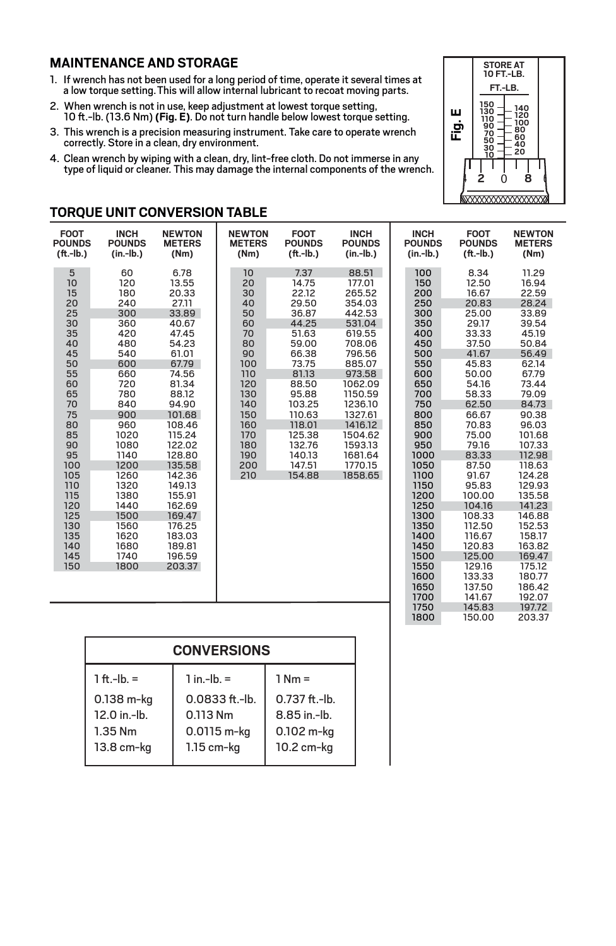# **MAINTENANCE AND STORAGE**

**TORQUE UNIT CONVERSION TABLE**

- 1. If wrench has not been used for a long period of time, operate it several times at a low torque setting.This will allow internal lubricant to recoat moving parts.
- 2. When wrench is not in use, keep adjustment at lowest torque setting, 10 ft.-lb. (13.6 Nm) (Fig. E). Do not turn handle below lowest torque setting.
- 3. This wrench is a precision measuring instrument. Take care to operate wrench correctly. Store in a clean, dry environment.
- 4. Clean wrench by wiping with a clean, dry, lint-free cloth. Do not immerse in any type of liquid or cleaner. This may damage the internal components of the wrench.



**NEWTON METERS (Nm)** 11.29 16.94 22.59

197.72 203.37

**FOOT POUNDS**

**INCH POUNDS**

> 145.83 150.00

1750 1800

### 60 120 180 **INCH POUNDS (in.-lb.)** 6.78 13.55 20.33 **NEWTON METERS (Nm)** 5 10 15 **FOOT POUNDS (.-lb.) INCH POUNDS (in.-lb.)** 10 20 30 **NEWTON METERS (Nm)** 7.37 14.75 22.12 **FOOT POUNDS (.-lb.)**

| $(ft.-lb.)$                                                                                                                                                                                | $(in - lb.)$                                                                                                                                                                                                                | (Nm)                                                                                                                                                                                                                                                                                      | (Nm)                                                                                                                                   | $(ft.-lb.)$                                                                                                                                                                                      | $(in - lb.)$                                                                                                                                                                                                            | $(in - lb.)$                                                                                                                                                                                                                                       | $(ft.-lb.)$                                                                                                                                                                                                                                                                                                     | (Nm)                                                                                                                                                                                                                                                                                                                   |
|--------------------------------------------------------------------------------------------------------------------------------------------------------------------------------------------|-----------------------------------------------------------------------------------------------------------------------------------------------------------------------------------------------------------------------------|-------------------------------------------------------------------------------------------------------------------------------------------------------------------------------------------------------------------------------------------------------------------------------------------|----------------------------------------------------------------------------------------------------------------------------------------|--------------------------------------------------------------------------------------------------------------------------------------------------------------------------------------------------|-------------------------------------------------------------------------------------------------------------------------------------------------------------------------------------------------------------------------|----------------------------------------------------------------------------------------------------------------------------------------------------------------------------------------------------------------------------------------------------|-----------------------------------------------------------------------------------------------------------------------------------------------------------------------------------------------------------------------------------------------------------------------------------------------------------------|------------------------------------------------------------------------------------------------------------------------------------------------------------------------------------------------------------------------------------------------------------------------------------------------------------------------|
| 5<br>10<br>15<br>20<br>25<br>30<br>35<br>40<br>45<br>50<br>55<br>60<br>65<br>70<br>75<br>80<br>85<br>90<br>95<br>100<br>105<br>110<br>115<br>120<br>125<br>130<br>135<br>140<br>145<br>150 | 60<br>120<br>180<br>240<br>300<br>360<br>420<br>480<br>540<br>600<br>660<br>720<br>780<br>840<br>900<br>960<br>1020<br>1080<br>1140<br>1200<br>1260<br>1320<br>1380<br>1440<br>1500<br>1560<br>1620<br>1680<br>1740<br>1800 | 6.78<br>13.55<br>20.33<br>27.11<br>33.89<br>40.67<br>47.45<br>54.23<br>61.01<br>67.79<br>74.56<br>81.34<br>88.12<br>94.90<br>101.68<br>108.46<br>115.24<br>122.02<br>128.80<br>135.58<br>142.36<br>149.13<br>155.91<br>162.69<br>169.47<br>176.25<br>183.03<br>189.81<br>196.59<br>203.37 | 10<br>20<br>30<br>40<br>50<br>60<br>70<br>80<br>90<br>100<br>110<br>120<br>130<br>140<br>150<br>160<br>170<br>180<br>190<br>200<br>210 | 7.37<br>14.75<br>22.12<br>29.50<br>36.87<br>44.25<br>51.63<br>59.00<br>66.38<br>73.75<br>81.13<br>88.50<br>95.88<br>103.25<br>110.63<br>118.01<br>125.38<br>132.76<br>140.13<br>147.51<br>154.88 | 88.51<br>177.01<br>265.52<br>354.03<br>442.53<br>531.04<br>619.55<br>708.06<br>796.56<br>885.07<br>973.58<br>1062.09<br>1150.59<br>1236.10<br>1327.61<br>1416.12<br>1504.62<br>1593.13<br>1681.64<br>1770.15<br>1858.65 | 100<br>150<br>200<br>250<br>300<br>350<br>400<br>450<br>500<br>550<br>600<br>650<br>700<br>750<br>800<br>850<br>900<br>950<br>1000<br>1050<br>1100<br>1150<br>1200<br>1250<br>1300<br>1350<br>1400<br>1450<br>1500<br>1550<br>1600<br>1650<br>1700 | 8.34<br>12.50<br>16.67<br>20.83<br>25.00<br>29.17<br>33.33<br>37.50<br>41.67<br>45.83<br>50.00<br>54.16<br>58.33<br>62.50<br>66.67<br>70.83<br>75.00<br>79.16<br>83.33<br>87.50<br>91.67<br>95.83<br>100.00<br>104.16<br>108.33<br>112.50<br>116.67<br>120.83<br>125.00<br>129.16<br>133.33<br>137.50<br>141.67 | 11.29<br>16.94<br>22.59<br>28.24<br>33.89<br>39.54<br>45.19<br>50.84<br>56.49<br>62.14<br>67.79<br>73.44<br>79.09<br>84.73<br>90.38<br>96.03<br>101.68<br>107.33<br>112.98<br>118.63<br>124.28<br>129.93<br>135.58<br>141.23<br>146.88<br>152.53<br>158.17<br>163.82<br>169.47<br>175.12<br>180.77<br>186.42<br>192.07 |

| <b>CONVERSIONS</b> |                  |                 |  |  |  |  |
|--------------------|------------------|-----------------|--|--|--|--|
| $1 ft.-lb. =$      | $1$ in $-lb =$   | $1 Nm =$        |  |  |  |  |
| 0.138 m-kg         | $0.0833$ ft.-lb. | $0.737$ ft.-lb. |  |  |  |  |
| 12.0 in.-lb.       | 0.113 Nm         | 8.85 in -lh.    |  |  |  |  |
| $1.35$ Nm          | 0.0115 m-kg      | 0.102 m-kg      |  |  |  |  |
| 13.8 cm-kg         | $1.15$ cm- $kg$  | 10.2 cm-kg      |  |  |  |  |
|                    |                  |                 |  |  |  |  |